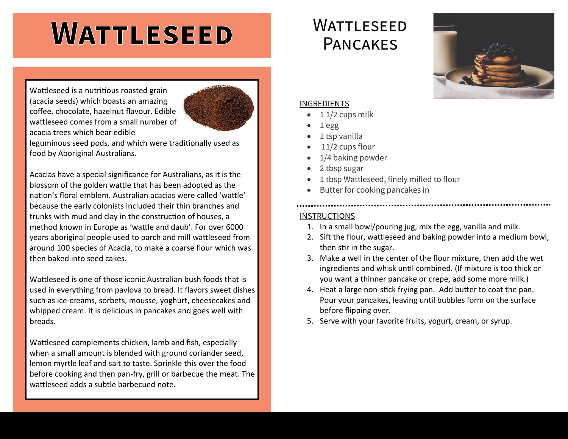# **WATTLESEED**

Wattleseed is a nutritious roasted grain (acacia seeds) which boasts an amazing coffee, chocolate, hazelnut flavour. Edible wattleseed comes from a small number of acacia trees which bear edible



leguminous seed pods, and which were traditionally used as food by Aboriginal Australians.

Acacias have a special significance for Australians, as it is the blossom of the golden wattle that has been adopted as the nation's floral emblem. Australian acacias were called 'wattle' because the early colonists included their thin branches and trunks with mud and clay in the construction of houses, a method known in Europe as 'wattle and daub'. For over 6000 years aboriginal people used to parch and mill wattleseed from around 100 species of Acacia, to make a coarse flour which was then baked into seed cakes.

Wattleseed is one of those iconic Australian bush foods that is used in everything from pavlova to bread. It flavors sweet dishes such as ice-creams, sorbets, mousse, yoghurt, cheesecakes and whipped cream. It is delicious in pancakes and goes well with breads.

Wattleseed complements chicken, lamb and fish, especially when a small amount is blended with ground coriander seed, lemon myrtle leaf and salt to taste. Sprinkle this over the food before cooking and then pan-fry, grill or barbecue the meat. The wattleseed adds a subtle barbecued note.

# **WATTLESEED** Pancakes



#### INGREDIENTS

- $\bullet$  1 1/2 cups milk
- 1 egg
- 1 tsp vanilla
- 11/2 cups flour
- 1/4 baking powder
- 2 tbsp sugar
- 1 tbsp Wattleseed, finely milled to flour
- Butter for cooking pancakes in

# **INSTRUCTIONS**

- 1. In a small bowl/pouring jug, mix the egg, vanilla and milk.
- 2. Sift the flour, wattleseed and baking powder into a medium bowl, then stir in the sugar.
- 3. Make a well in the center of the flour mixture, then add the wet ingredients and whisk until combined. (If mixture is too thick or you want a thinner pancake or crepe, add some more milk.)
- 4. Heat a large non-stick frying pan. Add butter to coat the pan. Pour your pancakes, leaving until bubbles form on the surface before flipping over.
- 5. Serve with your favorite fruits, yogurt, cream, or syrup.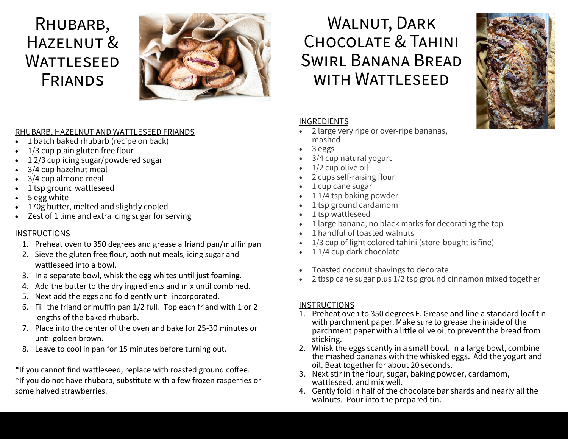# Rhubarb, Hazelnut & **WATTLESEED** FRIANDS



# RHUBARB, HAZELNUT AND WATTLESEED FRIANDS

- 1 batch baked rhubarb (recipe on back)
- 1/3 cup plain gluten free flour
- 1 2/3 cup icing sugar/powdered sugar
- 3/4 cup hazelnut meal
- 3/4 cup almond meal
- 1 tsp ground wattleseed
- 5 egg white
- 170g butter, melted and slightly cooled
- Zest of 1 lime and extra icing sugar for serving

#### **INSTRUCTIONS**

- 1. Preheat oven to 350 degrees and grease a friand pan/muffin pan
- 2. Sieve the gluten free flour, both nut meals, icing sugar and wattleseed into a bowl.
- 3. In a separate bowl, whisk the egg whites until just foaming.
- 4. Add the butter to the dry ingredients and mix until combined.
- 5. Next add the eggs and fold gently until incorporated.
- 6. Fill the friand or muffin pan 1/2 full. Top each friand with 1 or 2 lengths of the baked rhubarb.
- 7. Place into the center of the oven and bake for 25-30 minutes or until golden brown.
- 8. Leave to cool in pan for 15 minutes before turning out.

\*If you cannot find wattleseed, replace with roasted ground coffee.

\*If you do not have rhubarb, substitute with a few frozen rasperries or some halved strawberries.

# Walnut, Dark Chocolate & Tahini Swirl Banana Bread WITH WATTLESEED

# **INGREDIENTS**

- 2 large very ripe or over-ripe bananas, mashed
- 3 eggs
- 3/4 cup natural yogurt
- 1/2 cup olive oil
- 2 cups self-raising flour
- 1 cup cane sugar
- 1 1/4 tsp baking powder
- 1 tsp ground cardamom
- 1 tsp wattleseed
- 1 large banana, no black marks for decorating the top
- 1 handful of toasted walnuts
- 1/3 cup of light colored tahini (store-bought is fine)
- 1 1/4 cup dark chocolate
- Toasted coconut shavings to decorate
- 2 tbsp cane sugar plus  $1/2$  tsp ground cinnamon mixed together

### **INSTRUCTIONS**

- 1. Preheat oven to 350 degrees F. Grease and line a standard loaf tin with parchment paper. Make sure to grease the inside of the parchment paper with a little olive oil to prevent the bread from sticking.
- 2. Whisk the eggs scantly in a small bowl. In a large bowl, combine the mashed bananas with the whisked eggs. Add the yogurt and oil. Beat together for about 20 seconds.
- 3. Next stir in the flour, sugar, baking powder, cardamom, wattleseed, and mix well.
- 4. Gently fold in half of the chocolate bar shards and nearly all the walnuts. Pour into the prepared tin.